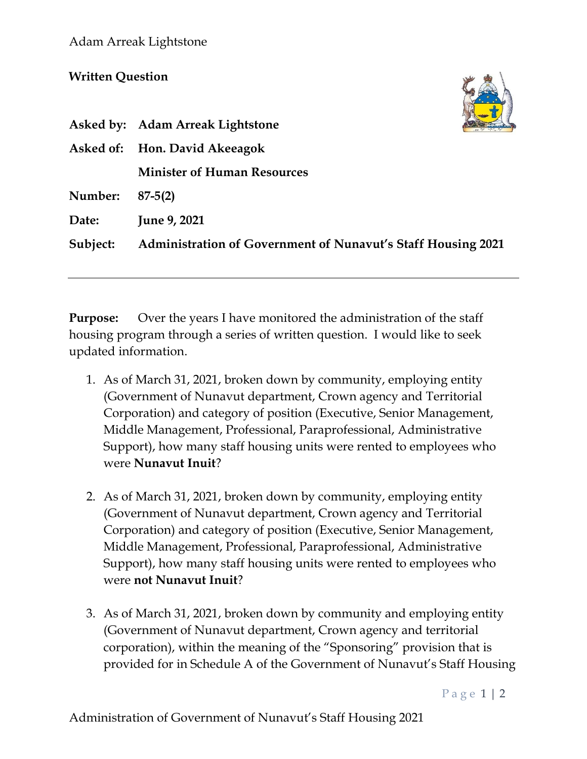## **Written Question**

|          | Asked by: Adam Arreak Lightstone                                    |
|----------|---------------------------------------------------------------------|
|          | Asked of: Hon. David Akeeagok                                       |
|          | <b>Minister of Human Resources</b>                                  |
| Number:  | $87 - 5(2)$                                                         |
| Date:    | June 9, 2021                                                        |
| Subject: | <b>Administration of Government of Nunavut's Staff Housing 2021</b> |
|          |                                                                     |

**Purpose:** Over the years I have monitored the administration of the staff housing program through a series of written question. I would like to seek updated information.

- 1. As of March 31, 2021, broken down by community, employing entity (Government of Nunavut department, Crown agency and Territorial Corporation) and category of position (Executive, Senior Management, Middle Management, Professional, Paraprofessional, Administrative Support), how many staff housing units were rented to employees who were **Nunavut Inuit**?
- 2. As of March 31, 2021, broken down by community, employing entity (Government of Nunavut department, Crown agency and Territorial Corporation) and category of position (Executive, Senior Management, Middle Management, Professional, Paraprofessional, Administrative Support), how many staff housing units were rented to employees who were **not Nunavut Inuit**?
- 3. As of March 31, 2021, broken down by community and employing entity (Government of Nunavut department, Crown agency and territorial corporation), within the meaning of the "Sponsoring" provision that is provided for in Schedule A of the Government of Nunavut's Staff Housing